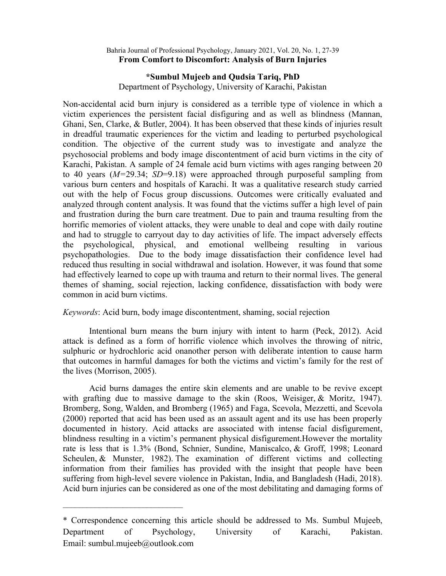## Bahria Journal of Professional Psychology, January 2021, Vol. 20, No. 1, 27-39 From Comfort to Discomfort: Analysis of Burn Injuries

# \*Sumbul Mujeeb and Qudsia Tariq, PhD

Department of Psychology, University of Karachi, Pakistan

Non-accidental acid burn injury is considered as a terrible type of violence in which a victim experiences the persistent facial disfiguring and as well as blindness (Mannan, Ghani, Sen, Clarke, & Butler, 2004). It has been observed that these kinds of injuries result in dreadful traumatic experiences for the victim and leading to perturbed psychological condition. The objective of the current study was to investigate and analyze the psychosocial problems and body image discontentment of acid burn victims in the city of Karachi, Pakistan. A sample of 24 female acid burn victims with ages ranging between 20 to 40 years  $(M=29.34; SD=9.18)$  were approached through purposeful sampling from various burn centers and hospitals of Karachi. It was a qualitative research study carried out with the help of Focus group discussions. Outcomes were critically evaluated and analyzed through content analysis. It was found that the victims suffer a high level of pain and frustration during the burn care treatment. Due to pain and trauma resulting from the horrific memories of violent attacks, they were unable to deal and cope with daily routine and had to struggle to carryout day to day activities of life. The impact adversely effects the psychological, physical, and emotional wellbeing resulting in various psychopathologies. Due to the body image dissatisfaction their confidence level had reduced thus resulting in social withdrawal and isolation. However, it was found that some had effectively learned to cope up with trauma and return to their normal lives. The general themes of shaming, social rejection, lacking confidence, dissatisfaction with body were common in acid burn victims.

Keywords: Acid burn, body image discontentment, shaming, social rejection

Intentional burn means the burn injury with intent to harm (Peck, 2012). Acid attack is defined as a form of horrific violence which involves the throwing of nitric, sulphuric or hydrochloric acid onanother person with deliberate intention to cause harm that outcomes in harmful damages for both the victims and victim's family for the rest of the lives (Morrison, 2005).

Acid burns damages the entire skin elements and are unable to be revive except with grafting due to massive damage to the skin (Roos, Weisiger, & Moritz, 1947). Bromberg, Song, Walden, and Bromberg (1965) and Faga, Scevola, Mezzetti, and Scevola (2000) reported that acid has been used as an assault agent and its use has been properly documented in history. Acid attacks are associated with intense facial disfigurement, blindness resulting in a victim's permanent physical disfigurement.However the mortality rate is less that is 1.3% (Bond, Schnier, Sundine, Maniscalco, & Groff, 1998; Leonard Scheulen, & Munster, 1982). The examination of different victims and collecting information from their families has provided with the insight that people have been suffering from high-level severe violence in Pakistan, India, and Bangladesh (Hadi, 2018). Acid burn injuries can be considered as one of the most debilitating and damaging forms of

 $\overline{\phantom{a}}$  , where  $\overline{\phantom{a}}$  , where  $\overline{\phantom{a}}$  , where  $\overline{\phantom{a}}$ 

<sup>\*</sup> Correspondence concerning this article should be addressed to Ms. Sumbul Mujeeb, Department of Psychology, University of Karachi, Pakistan. Email: sumbul.mujeeb@outlook.com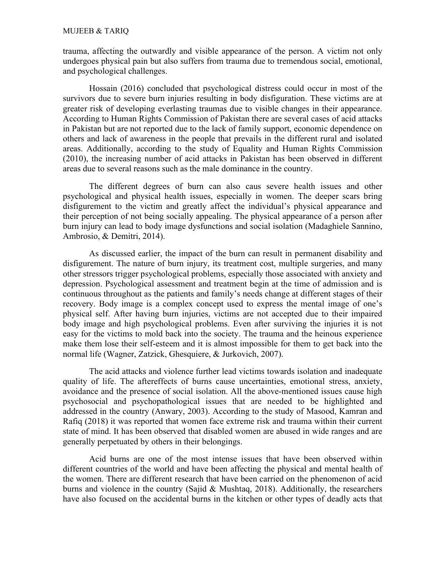#### MUJEEB & TARIQ

trauma, affecting the outwardly and visible appearance of the person. A victim not only undergoes physical pain but also suffers from trauma due to tremendous social, emotional, and psychological challenges.

Hossain (2016) concluded that psychological distress could occur in most of the survivors due to severe burn injuries resulting in body disfiguration. These victims are at greater risk of developing everlasting traumas due to visible changes in their appearance. According to Human Rights Commission of Pakistan there are several cases of acid attacks in Pakistan but are not reported due to the lack of family support, economic dependence on others and lack of awareness in the people that prevails in the different rural and isolated areas. Additionally, according to the study of Equality and Human Rights Commission (2010), the increasing number of acid attacks in Pakistan has been observed in different areas due to several reasons such as the male dominance in the country.

The different degrees of burn can also caus severe health issues and other psychological and physical health issues, especially in women. The deeper scars bring disfigurement to the victim and greatly affect the individual's physical appearance and their perception of not being socially appealing. The physical appearance of a person after burn injury can lead to body image dysfunctions and social isolation (Madaghiele Sannino, Ambrosio, & Demitri, 2014).

As discussed earlier, the impact of the burn can result in permanent disability and disfigurement. The nature of burn injury, its treatment cost, multiple surgeries, and many other stressors trigger psychological problems, especially those associated with anxiety and depression. Psychological assessment and treatment begin at the time of admission and is continuous throughout as the patients and family's needs change at different stages of their recovery. Body image is a complex concept used to express the mental image of one's physical self. After having burn injuries, victims are not accepted due to their impaired body image and high psychological problems. Even after surviving the injuries it is not easy for the victims to mold back into the society. The trauma and the heinous experience make them lose their self-esteem and it is almost impossible for them to get back into the normal life (Wagner, Zatzick, Ghesquiere, & Jurkovich, 2007).

The acid attacks and violence further lead victims towards isolation and inadequate quality of life. The aftereffects of burns cause uncertainties, emotional stress, anxiety, avoidance and the presence of social isolation. All the above-mentioned issues cause high psychosocial and psychopathological issues that are needed to be highlighted and addressed in the country (Anwary, 2003). According to the study of Masood, Kamran and Rafiq (2018) it was reported that women face extreme risk and trauma within their current state of mind. It has been observed that disabled women are abused in wide ranges and are generally perpetuated by others in their belongings.

Acid burns are one of the most intense issues that have been observed within different countries of the world and have been affecting the physical and mental health of the women. There are different research that have been carried on the phenomenon of acid burns and violence in the country (Sajid & Mushtaq, 2018). Additionally, the researchers have also focused on the accidental burns in the kitchen or other types of deadly acts that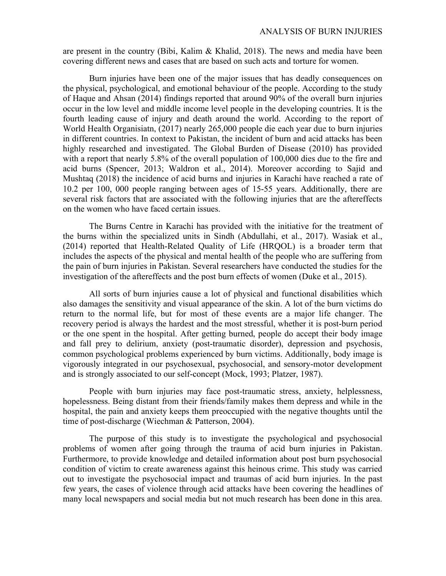### ANALYSIS OF BURN INJURIES

are present in the country (Bibi, Kalim & Khalid, 2018). The news and media have been covering different news and cases that are based on such acts and torture for women.

Burn injuries have been one of the major issues that has deadly consequences on the physical, psychological, and emotional behaviour of the people. According to the study of Haque and Ahsan (2014) findings reported that around 90% of the overall burn injuries occur in the low level and middle income level people in the developing countries. It is the fourth leading cause of injury and death around the world. According to the report of World Health Organisiatn, (2017) nearly 265,000 people die each year due to burn injuries in different countries. In context to Pakistan, the incident of burn and acid attacks has been highly researched and investigated. The Global Burden of Disease (2010) has provided with a report that nearly 5.8% of the overall population of 100,000 dies due to the fire and acid burns (Spencer, 2013; Waldron et al., 2014). Moreover according to Sajid and Mushtaq (2018) the incidence of acid burns and injuries in Karachi have reached a rate of 10.2 per 100, 000 people ranging between ages of 15-55 years. Additionally, there are several risk factors that are associated with the following injuries that are the aftereffects on the women who have faced certain issues.

The Burns Centre in Karachi has provided with the initiative for the treatment of the burns within the specialized units in Sindh (Abdullahi, et al., 2017). Wasiak et al., (2014) reported that Health-Related Quality of Life (HRQOL) is a broader term that includes the aspects of the physical and mental health of the people who are suffering from the pain of burn injuries in Pakistan. Several researchers have conducted the studies for the investigation of the aftereffects and the post burn effects of women (Duke et al., 2015).

All sorts of burn injuries cause a lot of physical and functional disabilities which also damages the sensitivity and visual appearance of the skin. A lot of the burn victims do return to the normal life, but for most of these events are a major life changer. The recovery period is always the hardest and the most stressful, whether it is post-burn period or the one spent in the hospital. After getting burned, people do accept their body image and fall prey to delirium, anxiety (post-traumatic disorder), depression and psychosis, common psychological problems experienced by burn victims. Additionally, body image is vigorously integrated in our psychosexual, psychosocial, and sensory-motor development and is strongly associated to our self-concept (Mock, 1993; Platzer, 1987).

People with burn injuries may face post-traumatic stress, anxiety, helplessness, hopelessness. Being distant from their friends/family makes them depress and while in the hospital, the pain and anxiety keeps them preoccupied with the negative thoughts until the time of post-discharge (Wiechman & Patterson, 2004).

The purpose of this study is to investigate the psychological and psychosocial problems of women after going through the trauma of acid burn injuries in Pakistan. Furthermore, to provide knowledge and detailed information about post burn psychosocial condition of victim to create awareness against this heinous crime. This study was carried out to investigate the psychosocial impact and traumas of acid burn injuries. In the past few years, the cases of violence through acid attacks have been covering the headlines of many local newspapers and social media but not much research has been done in this area.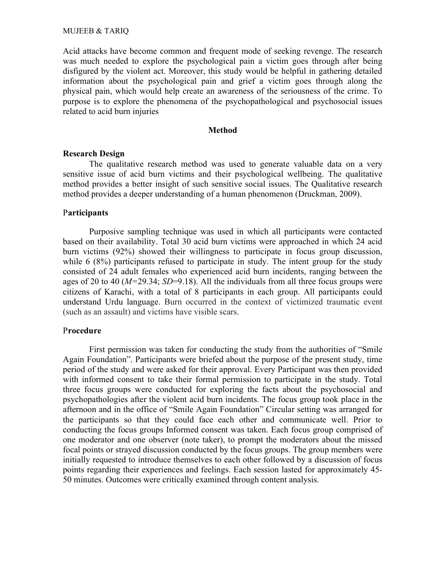Acid attacks have become common and frequent mode of seeking revenge. The research was much needed to explore the psychological pain a victim goes through after being disfigured by the violent act. Moreover, this study would be helpful in gathering detailed information about the psychological pain and grief a victim goes through along the physical pain, which would help create an awareness of the seriousness of the crime. To purpose is to explore the phenomena of the psychopathological and psychosocial issues related to acid burn injuries

#### Method

### Research Design

The qualitative research method was used to generate valuable data on a very sensitive issue of acid burn victims and their psychological wellbeing. The qualitative method provides a better insight of such sensitive social issues. The Qualitative research method provides a deeper understanding of a human phenomenon (Druckman, 2009).

### Participants

Purposive sampling technique was used in which all participants were contacted based on their availability. Total 30 acid burn victims were approached in which 24 acid burn victims (92%) showed their willingness to participate in focus group discussion, while 6 (8%) participants refused to participate in study. The intent group for the study consisted of 24 adult females who experienced acid burn incidents, ranging between the ages of 20 to 40 ( $M=29.34$ ;  $SD=9.18$ ). All the individuals from all three focus groups were citizens of Karachi, with a total of 8 participants in each group. All participants could understand Urdu language. Burn occurred in the context of victimized traumatic event (such as an assault) and victims have visible scars.

### Procedure

First permission was taken for conducting the study from the authorities of "Smile Again Foundation". Participants were briefed about the purpose of the present study, time period of the study and were asked for their approval. Every Participant was then provided with informed consent to take their formal permission to participate in the study. Total three focus groups were conducted for exploring the facts about the psychosocial and psychopathologies after the violent acid burn incidents. The focus group took place in the afternoon and in the office of "Smile Again Foundation" Circular setting was arranged for the participants so that they could face each other and communicate well. Prior to conducting the focus groups Informed consent was taken. Each focus group comprised of one moderator and one observer (note taker), to prompt the moderators about the missed focal points or strayed discussion conducted by the focus groups. The group members were initially requested to introduce themselves to each other followed by a discussion of focus points regarding their experiences and feelings. Each session lasted for approximately 45- 50 minutes. Outcomes were critically examined through content analysis.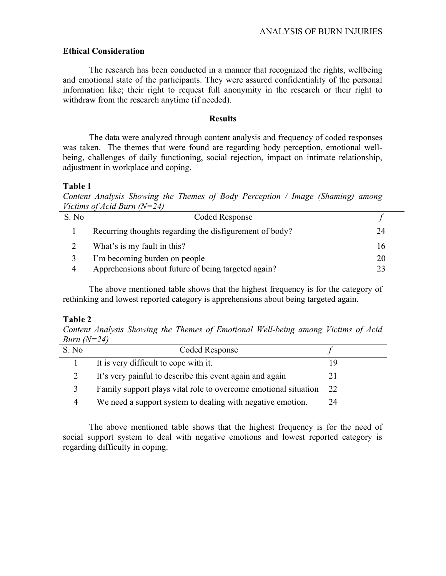## Ethical Consideration

The research has been conducted in a manner that recognized the rights, wellbeing and emotional state of the participants. They were assured confidentiality of the personal information like; their right to request full anonymity in the research or their right to withdraw from the research anytime (if needed).

### **Results**

The data were analyzed through content analysis and frequency of coded responses was taken. The themes that were found are regarding body perception, emotional wellbeing, challenges of daily functioning, social rejection, impact on intimate relationship, adjustment in workplace and coping.

## Table 1

Content Analysis Showing the Themes of Body Perception / Image (Shaming) among Victims of Acid Burn  $(N=24)$ 

| S. No | Coded Response                                          |    |
|-------|---------------------------------------------------------|----|
|       | Recurring thoughts regarding the disfigurement of body? |    |
|       | What's is my fault in this?                             | 16 |
|       | I'm becoming burden on people                           | 20 |
| 4     | Apprehensions about future of being targeted again?     |    |

 The above mentioned table shows that the highest frequency is for the category of rethinking and lowest reported category is apprehensions about being targeted again.

## Table 2

Content Analysis Showing the Themes of Emotional Well-being among Victims of Acid Burn  $(N=24)$ 

| S. No | Coded Response                                                  |      |
|-------|-----------------------------------------------------------------|------|
|       | It is very difficult to cope with it.                           |      |
|       | It's very painful to describe this event again and again        | 21   |
|       | Family support plays vital role to overcome emotional situation | - 22 |
| 4     | We need a support system to dealing with negative emotion.      | 24   |

The above mentioned table shows that the highest frequency is for the need of social support system to deal with negative emotions and lowest reported category is regarding difficulty in coping.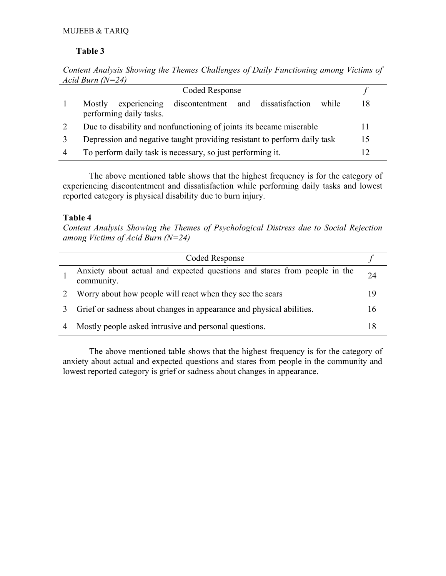# Table 3

Content Analysis Showing the Themes Challenges of Daily Functioning among Victims of Acid Burn  $(N=24)$ 

| Coded Response                                                                                   |    |
|--------------------------------------------------------------------------------------------------|----|
| discontentment and dissatisfaction<br>Mostly<br>experiencing<br>while<br>performing daily tasks. |    |
| Due to disability and nonfunctioning of joints its became miserable                              |    |
| Depression and negative taught providing resistant to perform daily task                         | 15 |
| To perform daily task is necessary, so just performing it.                                       |    |

The above mentioned table shows that the highest frequency is for the category of experiencing discontentment and dissatisfaction while performing daily tasks and lowest reported category is physical disability due to burn injury.

# Table 4

Content Analysis Showing the Themes of Psychological Distress due to Social Rejection among Victims of Acid Burn  $(N=24)$ 

| Coded Response                                                                          |    |
|-----------------------------------------------------------------------------------------|----|
| Anxiety about actual and expected questions and stares from people in the<br>community. | 24 |
| Worry about how people will react when they see the scars                               | 19 |
| Grief or sadness about changes in appearance and physical abilities.                    | 16 |
| Mostly people asked intrusive and personal questions.                                   |    |

The above mentioned table shows that the highest frequency is for the category of anxiety about actual and expected questions and stares from people in the community and lowest reported category is grief or sadness about changes in appearance.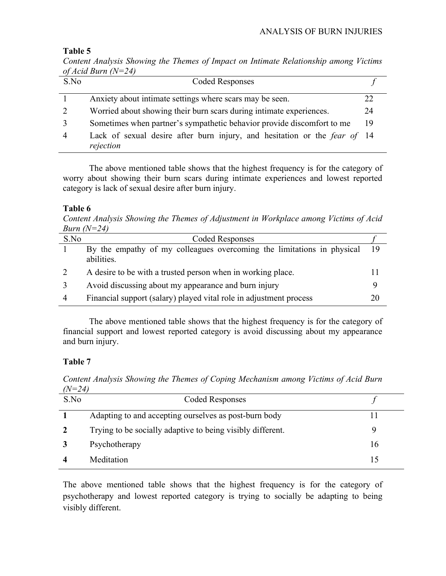## Table 5

Content Analysis Showing the Themes of Impact on Intimate Relationship among Victims of Acid Burn  $(N=24)$ 

| S.No | <b>Coded Responses</b>                                                                 |    |
|------|----------------------------------------------------------------------------------------|----|
|      | Anxiety about intimate settings where scars may be seen.                               |    |
| 2    | Worried about showing their burn scars during intimate experiences.                    | 24 |
|      | Sometimes when partner's sympathetic behavior provide discomfort to me                 | 19 |
| 4    | Lack of sexual desire after burn injury, and hesitation or the fear of 14<br>rejection |    |

The above mentioned table shows that the highest frequency is for the category of worry about showing their burn scars during intimate experiences and lowest reported category is lack of sexual desire after burn injury.

# Table 6

Content Analysis Showing the Themes of Adjustment in Workplace among Victims of Acid Burn  $(N=24)$ 

| S.No | Coded Responses                                                        |    |
|------|------------------------------------------------------------------------|----|
|      | By the empathy of my colleagues overcoming the limitations in physical | 19 |
|      | abilities.                                                             |    |
|      | A desire to be with a trusted person when in working place.            |    |
|      | Avoid discussing about my appearance and burn injury                   |    |
|      | Financial support (salary) played vital role in adjustment process     | 20 |

The above mentioned table shows that the highest frequency is for the category of financial support and lowest reported category is avoid discussing about my appearance and burn injury.

# Table 7

Content Analysis Showing the Themes of Coping Mechanism among Victims of Acid Burn  $(N=24)$ 

| S.No           | Coded Responses                                            |    |
|----------------|------------------------------------------------------------|----|
|                | Adapting to and accepting ourselves as post-burn body      |    |
| $\overline{2}$ | Trying to be socially adaptive to being visibly different. | Q  |
|                | Psychotherapy                                              | 16 |
|                | Meditation                                                 |    |

The above mentioned table shows that the highest frequency is for the category of psychotherapy and lowest reported category is trying to socially be adapting to being visibly different.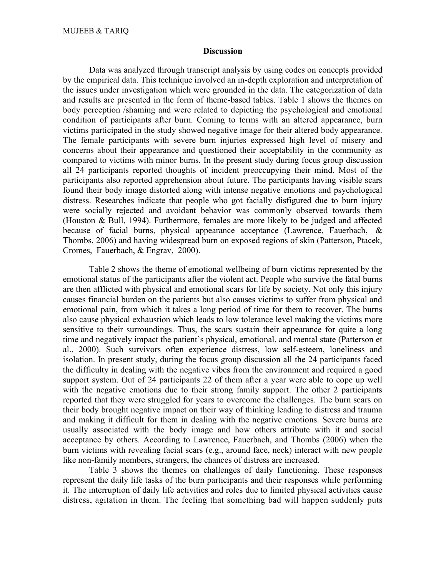### **Discussion**

Data was analyzed through transcript analysis by using codes on concepts provided by the empirical data. This technique involved an in-depth exploration and interpretation of the issues under investigation which were grounded in the data. The categorization of data and results are presented in the form of theme-based tables. Table 1 shows the themes on body perception /shaming and were related to depicting the psychological and emotional condition of participants after burn. Coming to terms with an altered appearance, burn victims participated in the study showed negative image for their altered body appearance. The female participants with severe burn injuries expressed high level of misery and concerns about their appearance and questioned their acceptability in the community as compared to victims with minor burns. In the present study during focus group discussion all 24 participants reported thoughts of incident preoccupying their mind. Most of the participants also reported apprehension about future. The participants having visible scars found their body image distorted along with intense negative emotions and psychological distress. Researches indicate that people who got facially disfigured due to burn injury were socially rejected and avoidant behavior was commonly observed towards them (Houston & Bull, 1994). Furthermore, females are more likely to be judged and affected because of facial burns, physical appearance acceptance (Lawrence, Fauerbach, & Thombs, 2006) and having widespread burn on exposed regions of skin (Patterson, Ptacek, Cromes, Fauerbach, & Engrav, 2000).

Table 2 shows the theme of emotional wellbeing of burn victims represented by the emotional status of the participants after the violent act. People who survive the fatal burns are then afflicted with physical and emotional scars for life by society. Not only this injury causes financial burden on the patients but also causes victims to suffer from physical and emotional pain, from which it takes a long period of time for them to recover. The burns also cause physical exhaustion which leads to low tolerance level making the victims more sensitive to their surroundings. Thus, the scars sustain their appearance for quite a long time and negatively impact the patient's physical, emotional, and mental state (Patterson et al., 2000). Such survivors often experience distress, low self-esteem, loneliness and isolation. In present study, during the focus group discussion all the 24 participants faced the difficulty in dealing with the negative vibes from the environment and required a good support system. Out of 24 participants 22 of them after a year were able to cope up well with the negative emotions due to their strong family support. The other 2 participants reported that they were struggled for years to overcome the challenges. The burn scars on their body brought negative impact on their way of thinking leading to distress and trauma and making it difficult for them in dealing with the negative emotions. Severe burns are usually associated with the body image and how others attribute with it and social acceptance by others. According to Lawrence, Fauerbach, and Thombs (2006) when the burn victims with revealing facial scars (e.g., around face, neck) interact with new people like non-family members, strangers, the chances of distress are increased.

Table 3 shows the themes on challenges of daily functioning. These responses represent the daily life tasks of the burn participants and their responses while performing it. The interruption of daily life activities and roles due to limited physical activities cause distress, agitation in them. The feeling that something bad will happen suddenly puts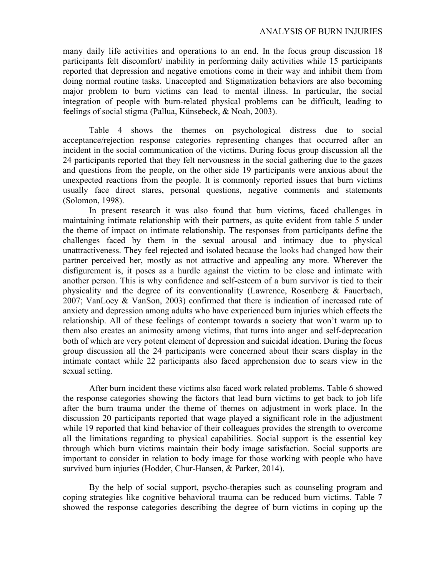many daily life activities and operations to an end. In the focus group discussion 18 participants felt discomfort/ inability in performing daily activities while 15 participants reported that depression and negative emotions come in their way and inhibit them from doing normal routine tasks. Unaccepted and Stigmatization behaviors are also becoming major problem to burn victims can lead to mental illness. In particular, the social integration of people with burn-related physical problems can be difficult, leading to feelings of social stigma (Pallua, Künsebeck, & Noah, 2003).

Table 4 shows the themes on psychological distress due to social acceptance/rejection response categories representing changes that occurred after an incident in the social communication of the victims. During focus group discussion all the 24 participants reported that they felt nervousness in the social gathering due to the gazes and questions from the people, on the other side 19 participants were anxious about the unexpected reactions from the people. It is commonly reported issues that burn victims usually face direct stares, personal questions, negative comments and statements (Solomon, 1998).

 In present research it was also found that burn victims, faced challenges in maintaining intimate relationship with their partners, as quite evident from table 5 under the theme of impact on intimate relationship. The responses from participants define the challenges faced by them in the sexual arousal and intimacy due to physical unattractiveness. They feel rejected and isolated because the looks had changed how their partner perceived her, mostly as not attractive and appealing any more. Wherever the disfigurement is, it poses as a hurdle against the victim to be close and intimate with another person. This is why confidence and self-esteem of a burn survivor is tied to their physicality and the degree of its conventionality (Lawrence, Rosenberg & Fauerbach, 2007; VanLoey & VanSon, 2003) confirmed that there is indication of increased rate of anxiety and depression among adults who have experienced burn injuries which effects the relationship. All of these feelings of contempt towards a society that won't warm up to them also creates an animosity among victims, that turns into anger and self-deprecation both of which are very potent element of depression and suicidal ideation. During the focus group discussion all the 24 participants were concerned about their scars display in the intimate contact while 22 participants also faced apprehension due to scars view in the sexual setting.

After burn incident these victims also faced work related problems. Table 6 showed the response categories showing the factors that lead burn victims to get back to job life after the burn trauma under the theme of themes on adjustment in work place. In the discussion 20 participants reported that wage played a significant role in the adjustment while 19 reported that kind behavior of their colleagues provides the strength to overcome all the limitations regarding to physical capabilities. Social support is the essential key through which burn victims maintain their body image satisfaction. Social supports are important to consider in relation to body image for those working with people who have survived burn injuries (Hodder, Chur-Hansen, & Parker, 2014).

By the help of social support, psycho-therapies such as counseling program and coping strategies like cognitive behavioral trauma can be reduced burn victims. Table 7 showed the response categories describing the degree of burn victims in coping up the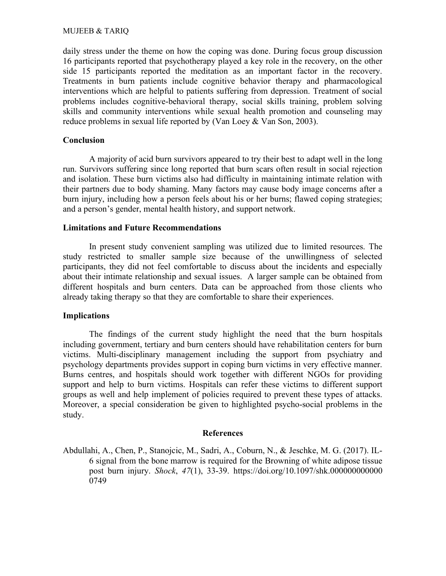daily stress under the theme on how the coping was done. During focus group discussion 16 participants reported that psychotherapy played a key role in the recovery, on the other side 15 participants reported the meditation as an important factor in the recovery. Treatments in burn patients include cognitive behavior therapy and pharmacological interventions which are helpful to patients suffering from depression. Treatment of social problems includes cognitive-behavioral therapy, social skills training, problem solving skills and community interventions while sexual health promotion and counseling may reduce problems in sexual life reported by (Van Loey & Van Son, 2003).

# **Conclusion**

A majority of acid burn survivors appeared to try their best to adapt well in the long run. Survivors suffering since long reported that burn scars often result in social rejection and isolation. These burn victims also had difficulty in maintaining intimate relation with their partners due to body shaming. Many factors may cause body image concerns after a burn injury, including how a person feels about his or her burns; flawed coping strategies; and a person's gender, mental health history, and support network.

# Limitations and Future Recommendations

In present study convenient sampling was utilized due to limited resources. The study restricted to smaller sample size because of the unwillingness of selected participants, they did not feel comfortable to discuss about the incidents and especially about their intimate relationship and sexual issues. A larger sample can be obtained from different hospitals and burn centers. Data can be approached from those clients who already taking therapy so that they are comfortable to share their experiences.

## Implications

The findings of the current study highlight the need that the burn hospitals including government, tertiary and burn centers should have rehabilitation centers for burn victims. Multi-disciplinary management including the support from psychiatry and psychology departments provides support in coping burn victims in very effective manner. Burns centres, and hospitals should work together with different NGOs for providing support and help to burn victims. Hospitals can refer these victims to different support groups as well and help implement of policies required to prevent these types of attacks. Moreover, a special consideration be given to highlighted psycho-social problems in the study.

## References

Abdullahi, A., Chen, P., Stanojcic, M., Sadri, A., Coburn, N., & Jeschke, M. G. (2017). IL-6 signal from the bone marrow is required for the Browning of white adipose tissue post burn injury. Shock, 47(1), 33-39. https://doi.org/10.1097/shk.000000000000 0749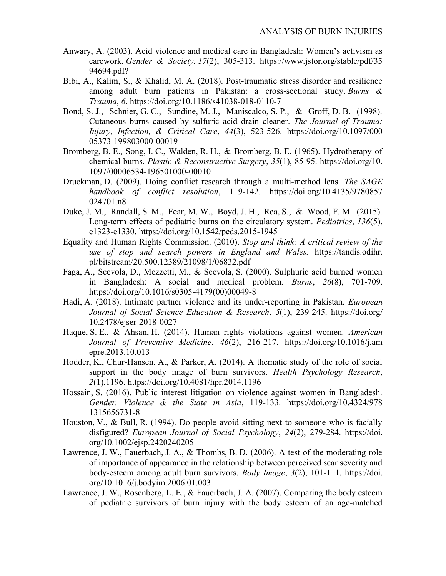- Anwary, A. (2003). Acid violence and medical care in Bangladesh: Women's activism as carework. Gender & Society, 17(2), 305-313. https://www.jstor.org/stable/pdf/35 94694.pdf?
- Bibi, A., Kalim, S., & Khalid, M. A. (2018). Post-traumatic stress disorder and resilience among adult burn patients in Pakistan: a cross-sectional study. Burns  $\&$ Trauma, 6. https://doi.org/10.1186/s41038-018-0110-7
- Bond, S. J., Schnier, G. C., Sundine, M. J., Maniscalco, S. P., & Groff, D. B. (1998). Cutaneous burns caused by sulfuric acid drain cleaner. The Journal of Trauma: Injury, Infection, & Critical Care, 44(3), 523-526. https://doi.org/10.1097/000 05373-199803000-00019
- Bromberg, B. E., Song, I. C., Walden, R. H., & Bromberg, B. E. (1965). Hydrotherapy of chemical burns. Plastic & Reconstructive Surgery, 35(1), 85-95. https://doi.org/10. 1097/00006534-196501000-00010
- Druckman, D. (2009). Doing conflict research through a multi-method lens. The SAGE handbook of conflict resolution, 119-142. https://doi.org/10.4135/9780857 024701.n8
- Duke, J. M., Randall, S. M., Fear, M. W., Boyd, J. H., Rea, S., & Wood, F. M. (2015). Long-term effects of pediatric burns on the circulatory system. Pediatrics, 136(5), e1323-e1330. https://doi.org/10.1542/peds.2015-1945
- Equality and Human Rights Commission. (2010). Stop and think: A critical review of the use of stop and search powers in England and Wales. https://tandis.odihr. pl/bitstream/20.500.12389/21098/1/06832.pdf
- Faga, A., Scevola, D., Mezzetti, M., & Scevola, S. (2000). Sulphuric acid burned women in Bangladesh: A social and medical problem. Burns, 26(8), 701-709. https://doi.org/10.1016/s0305-4179(00)00049-8
- Hadi, A. (2018). Intimate partner violence and its under-reporting in Pakistan. European Journal of Social Science Education & Research, 5(1), 239-245. https://doi.org/ 10.2478/ejser-2018-0027
- Haque, S. E., & Ahsan, H. (2014). Human rights violations against women. American Journal of Preventive Medicine, 46(2), 216-217. https://doi.org/10.1016/j.am epre.2013.10.013
- Hodder, K., Chur-Hansen, A., & Parker, A. (2014). A thematic study of the role of social support in the body image of burn survivors. Health Psychology Research, 2(1),1196. https://doi.org/10.4081/hpr.2014.1196
- Hossain, S. (2016). Public interest litigation on violence against women in Bangladesh. Gender, Violence & the State in Asia, 119-133. https://doi.org/10.4324/978 1315656731-8
- Houston, V., & Bull, R. (1994). Do people avoid sitting next to someone who is facially disfigured? European Journal of Social Psychology, 24(2), 279-284. https://doi. org/10.1002/ejsp.2420240205
- Lawrence, J. W., Fauerbach, J. A., & Thombs, B. D. (2006). A test of the moderating role of importance of appearance in the relationship between perceived scar severity and body-esteem among adult burn survivors. Body Image, 3(2), 101-111. https://doi. org/10.1016/j.bodyim.2006.01.003
- Lawrence, J. W., Rosenberg, L. E., & Fauerbach, J. A. (2007). Comparing the body esteem of pediatric survivors of burn injury with the body esteem of an age-matched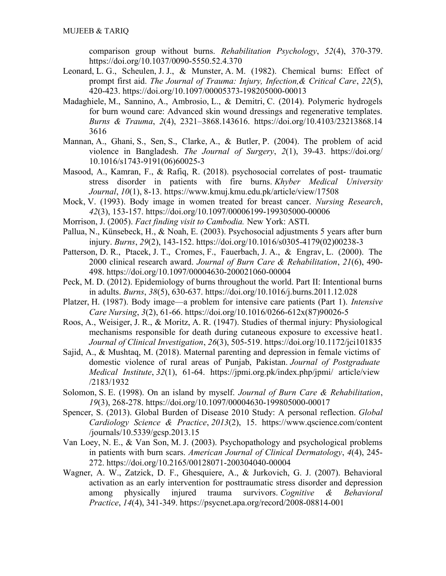comparison group without burns. Rehabilitation Psychology, 52(4), 370-379. https://doi.org/10.1037/0090-5550.52.4.370

- Leonard, L. G., Scheulen, J. J., & Munster, A. M. (1982). Chemical burns: Effect of prompt first aid. The Journal of Trauma: Injury, Infection,& Critical Care, 22(5), 420-423. https://doi.org/10.1097/00005373-198205000-00013
- Madaghiele, M., Sannino, A., Ambrosio, L., & Demitri, C. (2014). Polymeric hydrogels for burn wound care: Advanced skin wound dressings and regenerative templates. Burns & Trauma, 2(4), 2321–3868.143616. https://doi.org/10.4103/23213868.14 3616
- Mannan, A., Ghani, S., Sen, S., Clarke, A., & Butler, P. (2004). The problem of acid violence in Bangladesh. The Journal of Surgery,  $2(1)$ , 39-43. https://doi.org/ 10.1016/s1743-9191(06)60025-3
- Masood, A., Kamran, F., & Rafiq, R. (2018). psychosocial correlates of post- traumatic stress disorder in patients with fire burns. Khyber Medical University Journal, 10(1), 8-13. https://www.kmuj.kmu.edu.pk/article/view/17508
- Mock, V. (1993). Body image in women treated for breast cancer. Nursing Research, 42(3), 153-157. https://doi.org/10.1097/00006199-199305000-00006
- Morrison, J. (2005). Fact finding visit to Cambodia. New York: ASTI.
- Pallua, N., Künsebeck, H., & Noah, E. (2003). Psychosocial adjustments 5 years after burn injury. Burns, 29(2), 143-152. https://doi.org/10.1016/s0305-4179(02)00238-3
- Patterson, D. R., Ptacek, J. T., Cromes, F., Fauerbach, J. A., & Engrav, L. (2000). The 2000 clinical research award. Journal of Burn Care & Rehabilitation, 21(6), 490- 498. https://doi.org/10.1097/00004630-200021060-00004
- Peck, M. D. (2012). Epidemiology of burns throughout the world. Part II: Intentional burns in adults. Burns, 38(5), 630-637. https://doi.org/10.1016/j.burns.2011.12.028
- Platzer, H. (1987). Body image—a problem for intensive care patients (Part 1). Intensive Care Nursing, 3(2), 61-66. https://doi.org/10.1016/0266-612x(87)90026-5
- Roos, A., Weisiger, J. R., & Moritz, A. R. (1947). Studies of thermal injury: Physiological mechanisms responsible for death during cutaneous exposure to excessive heat1. Journal of Clinical Investigation, 26(3), 505-519. https://doi.org/10.1172/jci101835
- Sajid, A., & Mushtaq, M. (2018). Maternal parenting and depression in female victims of domestic violence of rural areas of Punjab, Pakistan. Journal of Postgraduate Medical Institute, 32(1), 61-64. https://jpmi.org.pk/index.php/jpmi/ article/view /2183/1932
- Solomon, S. E. (1998). On an island by myself. Journal of Burn Care & Rehabilitation, 19(3), 268-278. https://doi.org/10.1097/00004630-199805000-00017
- Spencer, S. (2013). Global Burden of Disease 2010 Study: A personal reflection. Global Cardiology Science & Practice, 2013(2), 15. https://www.qscience.com/content /journals/10.5339/gcsp.2013.15
- Van Loey, N. E., & Van Son, M. J. (2003). Psychopathology and psychological problems in patients with burn scars. American Journal of Clinical Dermatology, 4(4), 245- 272. https://doi.org/10.2165/00128071-200304040-00004
- Wagner, A. W., Zatzick, D. F., Ghesquiere, A., & Jurkovich, G. J. (2007). Behavioral activation as an early intervention for posttraumatic stress disorder and depression among physically injured trauma survivors. Cognitive & Behavioral Practice, 14(4), 341-349. https://psycnet.apa.org/record/2008-08814-001